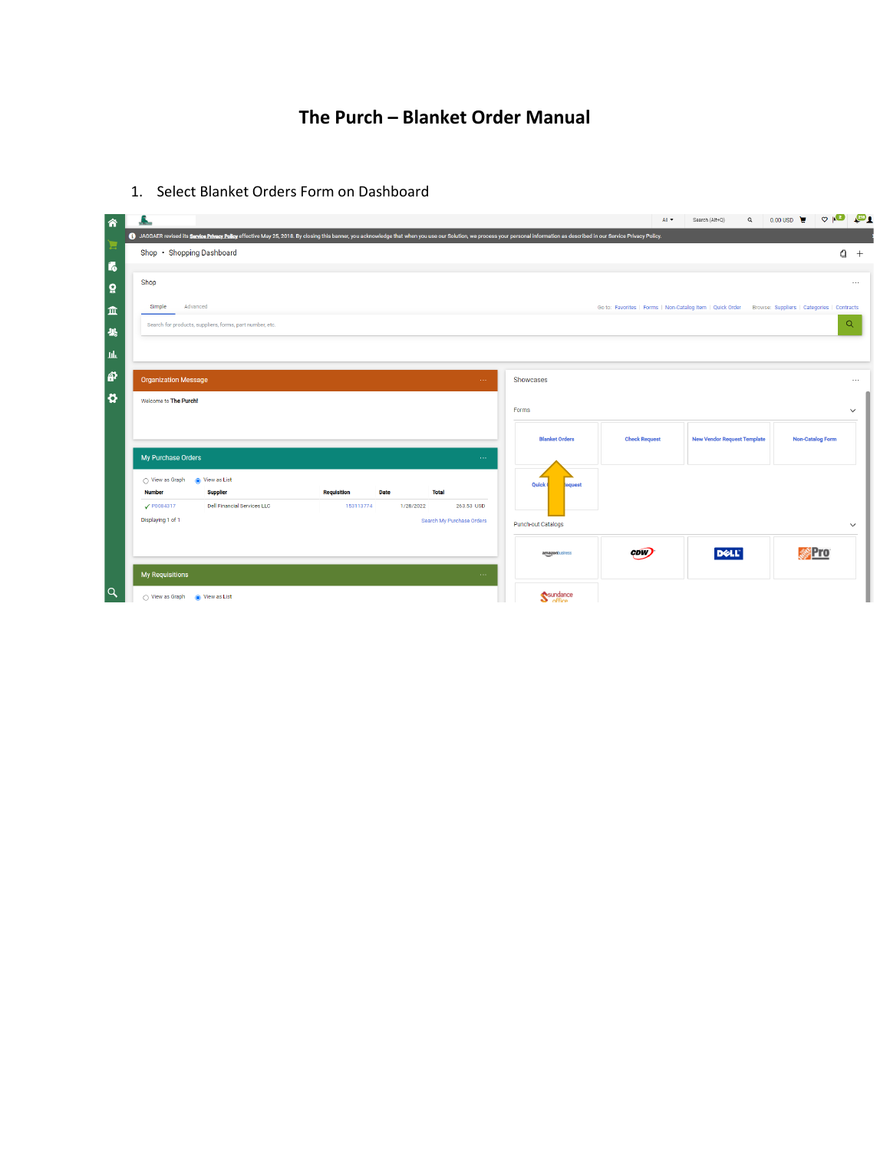# **The Purch – Blanket Order Manual**

| 谷                       | A.                                                                                                                                                                                                                             |                       | All <b>v</b>         | Search (Alt+Q)                                                                                       | $Q = 0.00 \text{ USD} \quad \blacksquare \quad Q \quad  Q  = 0.00 \text{ USD}$ |
|-------------------------|--------------------------------------------------------------------------------------------------------------------------------------------------------------------------------------------------------------------------------|-----------------------|----------------------|------------------------------------------------------------------------------------------------------|--------------------------------------------------------------------------------|
| E                       | 4) JAGGAER revised its Service Privacy Policy effective May 25, 2018. By closing this banner, you acknowledge that when you use our Solution, we process your personal information as described in our Service Privacy Policy. |                       |                      |                                                                                                      |                                                                                |
| $\mathbf{r}_0$          | Shop · Shopping Dashboard                                                                                                                                                                                                      |                       |                      |                                                                                                      | €<br>$+$                                                                       |
| ្តុ                     | Shop                                                                                                                                                                                                                           |                       |                      |                                                                                                      | $\cdots$                                                                       |
| 血                       | Advanced<br>Simple                                                                                                                                                                                                             |                       |                      | Go to: Favorites   Forms   Non-Catalog Item   Quick Order Browse: Suppliers   Categories   Contracts |                                                                                |
| 場                       | Search for products, suppliers, forms, part number, etc.                                                                                                                                                                       |                       |                      |                                                                                                      | Q                                                                              |
| $\overline{\textbf{m}}$ |                                                                                                                                                                                                                                |                       |                      |                                                                                                      |                                                                                |
| 阁                       | <b>Organization Message</b><br>$\sim$ $\sim$                                                                                                                                                                                   | Showcases             |                      |                                                                                                      | $\cdots$                                                                       |
| $\bullet$               | Welcome to The Purch!                                                                                                                                                                                                          | Forms                 |                      |                                                                                                      | $\check{~}$                                                                    |
|                         |                                                                                                                                                                                                                                | <b>Blanket Orders</b> | <b>Check Request</b> | <b>New Vendor Request Template</b>                                                                   | <b>Non-Catalog Form</b>                                                        |
|                         | My Purchase Orders<br>$\sim$ .                                                                                                                                                                                                 |                       |                      |                                                                                                      |                                                                                |
|                         | lew as List<br>◯ View as Graph                                                                                                                                                                                                 | Quick<br>equest       |                      |                                                                                                      |                                                                                |
|                         | <b>Supplier</b><br><b>Date</b><br><b>Total</b><br><b>Number</b><br><b>Requisition</b>                                                                                                                                          |                       |                      |                                                                                                      |                                                                                |
|                         | <b>Dell Financial Services LLC</b><br>153113774<br>1/28/2022<br>263.53 USD<br>$Y^{P0084317}$                                                                                                                                   |                       |                      |                                                                                                      |                                                                                |
|                         | Displaying 1 of 1<br>Search My Purchase Orders                                                                                                                                                                                 | Punch-out Catalogs    |                      |                                                                                                      | $\check{~}$                                                                    |
|                         |                                                                                                                                                                                                                                |                       |                      |                                                                                                      |                                                                                |
|                         |                                                                                                                                                                                                                                | amazoniusiness        | <b>CDW</b>           | <b>DELL</b>                                                                                          | <b><i>斜Pro</i></b>                                                             |
|                         | <b>My Requisitions</b><br>$\sim 100$                                                                                                                                                                                           |                       |                      |                                                                                                      |                                                                                |
| $\alpha$                | ◯ View as Graph ( View as List                                                                                                                                                                                                 | Sundance              |                      |                                                                                                      |                                                                                |

1. Select Blanket Orders Form on Dashboard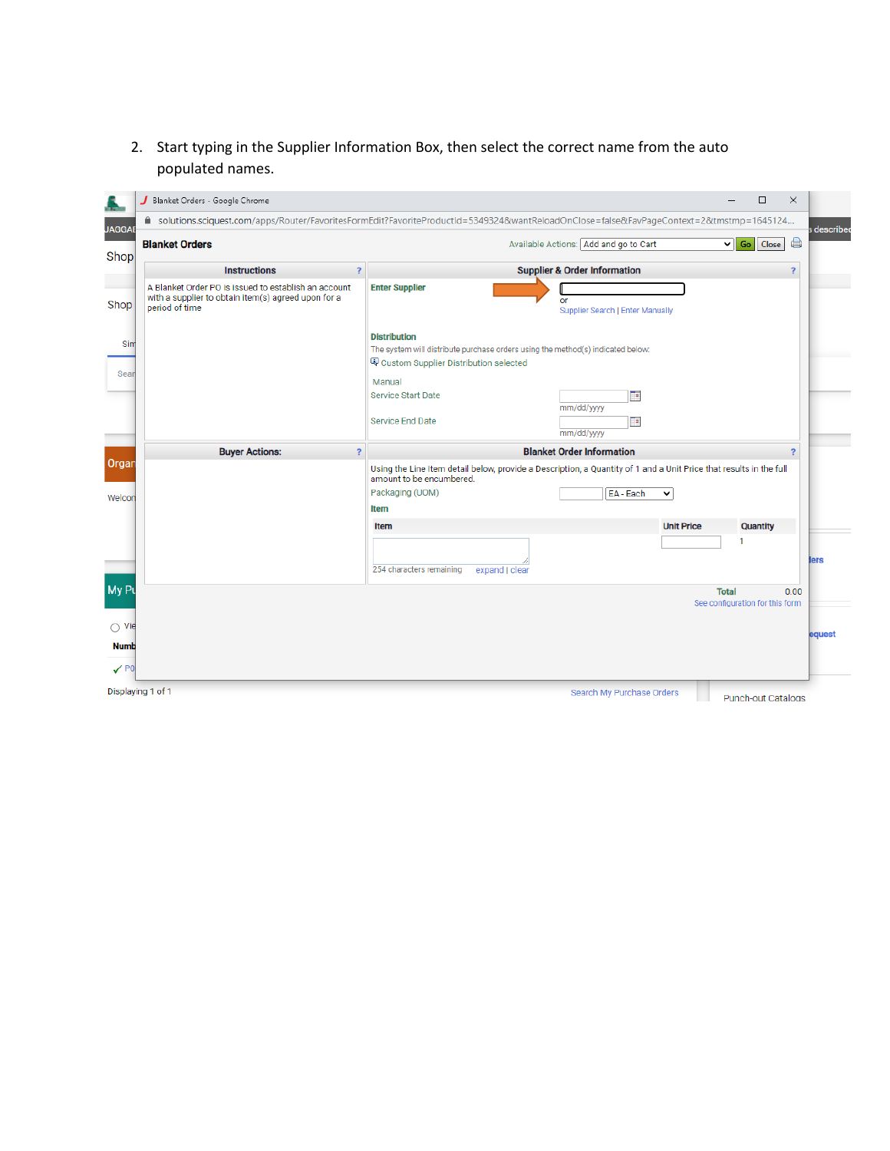2. Start typing in the Supplier Information Box, then select the correct name from the auto populated names.

| Blanket Orders - Google Chrome                                                                                                        | □                                                                                                                                                                                                            | X                       |
|---------------------------------------------------------------------------------------------------------------------------------------|--------------------------------------------------------------------------------------------------------------------------------------------------------------------------------------------------------------|-------------------------|
| <b>JAGGAI</b>                                                                                                                         | ■ solutions.sciquest.com/apps/Router/FavoritesFormEdit?FavoriteProductId=5349324&wantReloadOnClose=false&FavPageContext=2&tmstmp=1645124                                                                     | described               |
| <b>Blanket Orders</b><br>Shop                                                                                                         | Available Actions: Add and go to Cart<br>$\vee$ Go Close                                                                                                                                                     | $\bigoplus$             |
| <b>Instructions</b>                                                                                                                   | $\overline{\mathbf{?}}$<br><b>Supplier &amp; Order Information</b>                                                                                                                                           | $\overline{\mathbf{?}}$ |
| A Blanket Order PO is issued to establish an account<br>with a supplier to obtain item(s) agreed upon for a<br>Shop<br>period of time | <b>Enter Supplier</b><br>or<br><b>Supplier Search   Enter Manually</b>                                                                                                                                       |                         |
| Sim<br>Sear                                                                                                                           | <b>Distribution</b><br>The system will distribute purchase orders using the method(s) indicated below:<br>Custom Supplier Distribution selected<br>Manual<br><b>Service Start Date</b>                       |                         |
|                                                                                                                                       | Te,<br>mm/dd/yyyy<br><b>Service End Date</b><br>Taj<br>mm/dd/yyyy                                                                                                                                            |                         |
| <b>Buyer Actions:</b>                                                                                                                 | $\overline{\mathbf{?}}$<br><b>Blanket Order Information</b>                                                                                                                                                  | 2                       |
| Organ<br>Welcon                                                                                                                       | Using the Line Item detail below, provide a Description, a Quantity of 1 and a Unit Price that results in the full<br>amount to be encumbered.<br>Packaging (UOM)<br>EA - Each<br>$\check{ }$<br><b>Item</b> |                         |
|                                                                                                                                       | <b>Unit Price</b><br><b>Quantity</b><br><b>Item</b>                                                                                                                                                          |                         |
|                                                                                                                                       | 254 characters remaining<br>expand   clear                                                                                                                                                                   | lers                    |
| My P                                                                                                                                  | <b>Total</b><br>See configuration for this form                                                                                                                                                              | 0.00                    |
| $\bigcirc$ Vie<br><b>Numb</b><br>$\sqrt{PQ}$                                                                                          |                                                                                                                                                                                                              | equest                  |
| Displaying 1 of 1                                                                                                                     | Search My Purchase Orders<br><b>Punch-out Catalogs</b>                                                                                                                                                       |                         |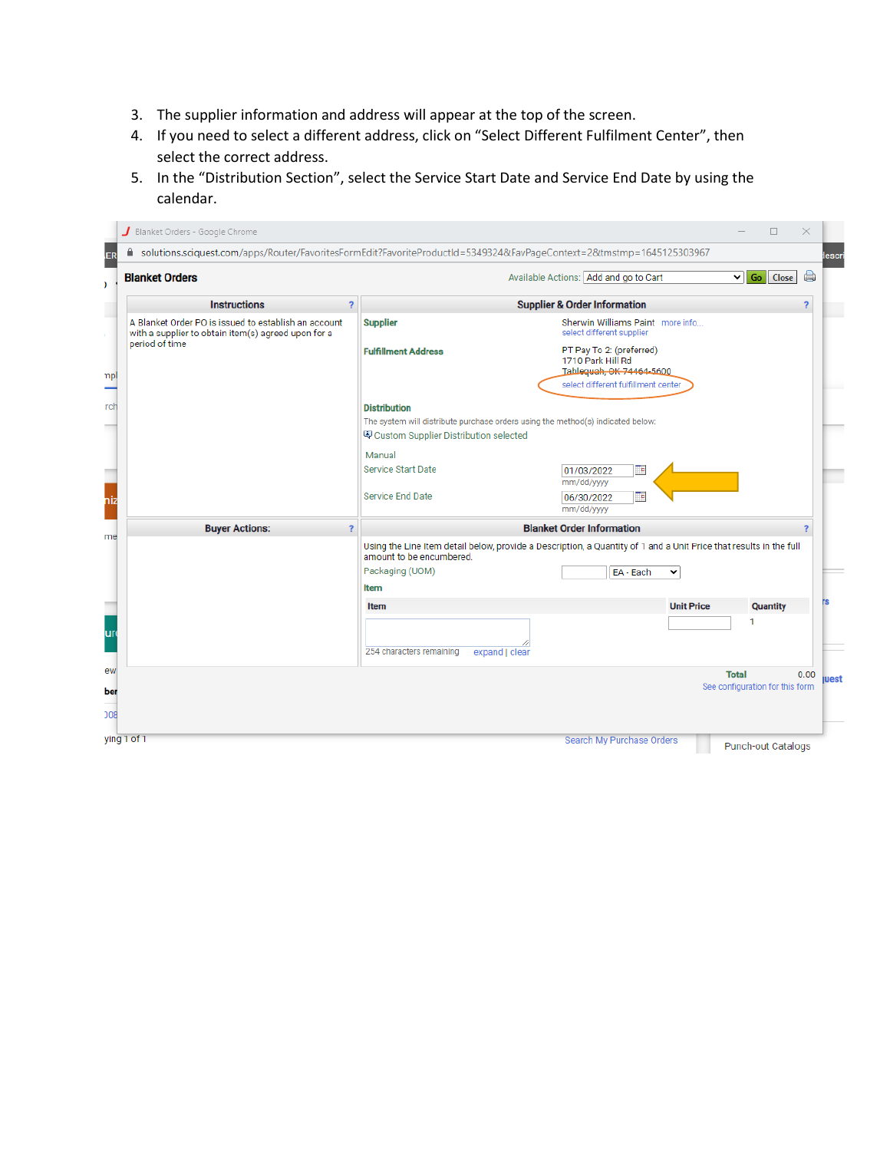- 3. The supplier information and address will appear at the top of the screen.
- 4. If you need to select a different address, click on "Select Different Fulfilment Center", then select the correct address.
- 5. In the "Distribution Section", select the Service Start Date and Service End Date by using the calendar.

| <b>Blanket Orders</b>                                                                                                         |                                                                                                                                                                                                                                                             | Available Actions: Add and go to Cart                                                                                                                                                                                                                  |                        | a<br>$\vee$   Go  <br>Close                                                     |
|-------------------------------------------------------------------------------------------------------------------------------|-------------------------------------------------------------------------------------------------------------------------------------------------------------------------------------------------------------------------------------------------------------|--------------------------------------------------------------------------------------------------------------------------------------------------------------------------------------------------------------------------------------------------------|------------------------|---------------------------------------------------------------------------------|
| <b>Instructions</b><br>$\overline{\mathbf{r}}$                                                                                |                                                                                                                                                                                                                                                             | <b>Supplier &amp; Order Information</b>                                                                                                                                                                                                                |                        | $\overline{\mathbf{?}}$                                                         |
| A Blanket Order PO is issued to establish an account<br>with a supplier to obtain item(s) agreed upon for a<br>period of time | <b>Supplier</b><br><b>Fulfillment Address</b><br><b>Distribution</b><br>The system will distribute purchase orders using the method(s) indicated below:<br>Custom Supplier Distribution selected<br>Manual<br><b>Service Start Date</b><br>Service End Date | Sherwin Williams Paint more info<br>select different supplier<br>PT Pay To 2: (preferred)<br>1710 Park Hill Rd<br>Tablequah, OK 74464-5600<br>select different fulfillment center<br>Te.<br>01/03/2022<br>mm/dd/yyyy<br>٣q<br>06/30/2022<br>mm/dd/yyyy |                        |                                                                                 |
| $\overline{\mathbf{r}}$<br><b>Buyer Actions:</b>                                                                              |                                                                                                                                                                                                                                                             | <b>Blanket Order Information</b>                                                                                                                                                                                                                       |                        |                                                                                 |
|                                                                                                                               | Using the Line Item detail below, provide a Description, a Quantity of 1 and a Unit Price that results in the full<br>amount to be encumbered.<br>Packaging (UOM)<br><b>Item</b><br><b>Item</b><br>254 characters remaining<br>expand   clear               | EA - Each                                                                                                                                                                                                                                              | v<br><b>Unit Price</b> | <b>Quantity</b><br>1<br><b>Total</b><br>0.00<br>See configuration for this form |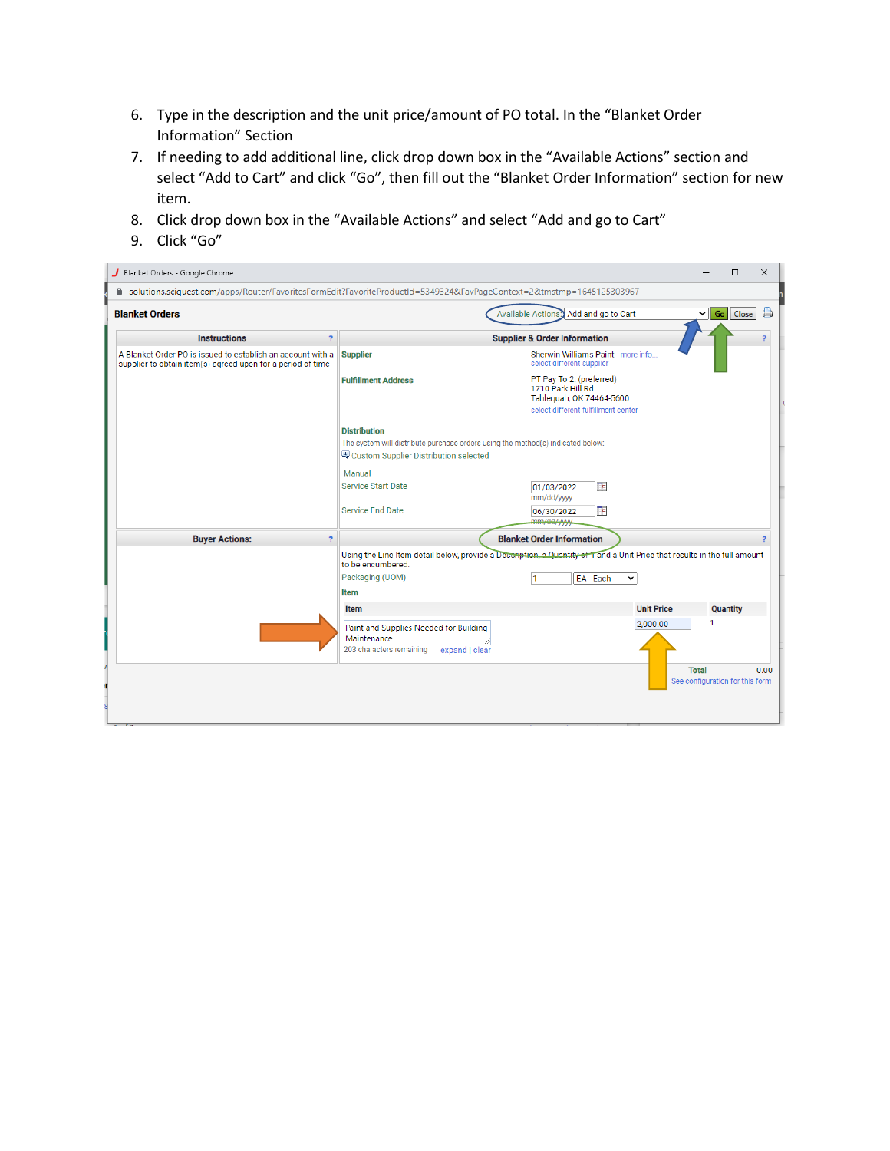- 6. Type in the description and the unit price/amount of PO total. In the "Blanket Order Information" Section
- 7. If needing to add additional line, click drop down box in the "Available Actions" section and select "Add to Cart" and click "Go", then fill out the "Blanket Order Information" section for new item.
- 8. Click drop down box in the "Available Actions" and select "Add and go to Cart"
- 9. Click "Go"

| Blanket Orders - Google Chrome                                                                                             |                                                                                                                                                 | П                                                                                                                         | $\times$ |
|----------------------------------------------------------------------------------------------------------------------------|-------------------------------------------------------------------------------------------------------------------------------------------------|---------------------------------------------------------------------------------------------------------------------------|----------|
| ■ solutions.sciquest.com/apps/Router/FavoritesFormEdit?FavoriteProductId=5349324&FavPageContext=2&tmstmp=1645125303967     |                                                                                                                                                 |                                                                                                                           |          |
| <b>Blanket Orders</b>                                                                                                      |                                                                                                                                                 | Available Actions: Add and go to Cart<br>Go<br>Close<br>◡                                                                 | a        |
| <b>Instructions</b><br>$\overline{\mathbf{r}}$                                                                             |                                                                                                                                                 | <b>Supplier &amp; Order Information</b>                                                                                   | ?        |
| A Blanket Order PO is issued to establish an account with a<br>supplier to obtain item(s) agreed upon for a period of time | <b>Supplier</b>                                                                                                                                 | Sherwin Williams Paint more info<br>select different supplier                                                             |          |
|                                                                                                                            | <b>Fulfillment Address</b>                                                                                                                      | PT Pay To 2: (preferred)<br>1710 Park Hill Rd<br>Tahleguah, OK 74464-5600<br>select different fulfillment center          |          |
|                                                                                                                            | <b>Distribution</b><br>The system will distribute purchase orders using the method(s) indicated below:<br>Custom Supplier Distribution selected |                                                                                                                           |          |
|                                                                                                                            | Manual                                                                                                                                          |                                                                                                                           |          |
|                                                                                                                            | <b>Service Start Date</b>                                                                                                                       | ℡<br>01/03/2022<br>mm/dd/yyyy                                                                                             |          |
|                                                                                                                            | <b>Service End Date</b>                                                                                                                         | Ta,<br>06/30/2022<br>mm/dd/yyyy                                                                                           |          |
| <b>Buyer Actions:</b><br>$\overline{\mathbf{r}}$                                                                           |                                                                                                                                                 | <b>Blanket Order Information</b>                                                                                          |          |
|                                                                                                                            | to be encumbered.                                                                                                                               | Using the Line Item detail below, provide a Description, a Quantity of 1 and a Unit Price that results in the full amount |          |
|                                                                                                                            | Packaging (UOM)                                                                                                                                 | EA - Each<br>$\check{ }$                                                                                                  |          |
|                                                                                                                            | <b>Item</b>                                                                                                                                     |                                                                                                                           |          |
|                                                                                                                            | Item                                                                                                                                            | <b>Unit Price</b><br><b>Quantity</b>                                                                                      |          |
|                                                                                                                            | Paint and Supplies Needed for Building<br>Maintenance                                                                                           | 2,000.00                                                                                                                  |          |
|                                                                                                                            | 203 characters remaining<br>expand   clear                                                                                                      |                                                                                                                           |          |
|                                                                                                                            |                                                                                                                                                 | <b>Total</b><br>See configuration for this form                                                                           | 0.00     |
|                                                                                                                            |                                                                                                                                                 |                                                                                                                           |          |
|                                                                                                                            |                                                                                                                                                 |                                                                                                                           |          |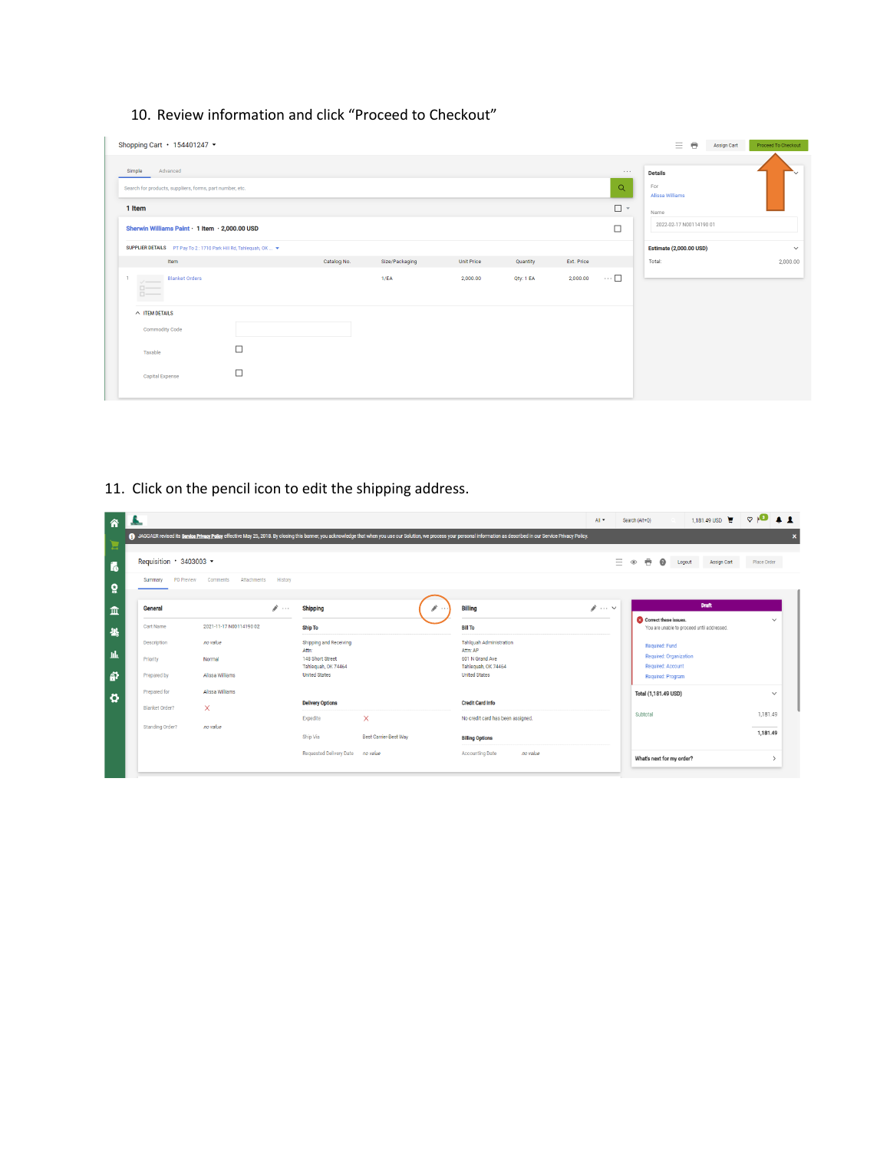## 10. Review information and click "Proceed to Checkout"

| Shopping Cart • 154401247 ▼                                                    |        |             |                |                   |           |            |                             | Ξ<br>$\bigoplus$<br><b>Assign Cart</b>   | Proceed To Checkout      |
|--------------------------------------------------------------------------------|--------|-------------|----------------|-------------------|-----------|------------|-----------------------------|------------------------------------------|--------------------------|
| Simple<br>Advanced<br>Search for products, suppliers, forms, part number, etc. |        |             |                |                   |           |            | $\cdots$<br>$\alpha$        | <b>Details</b><br>For<br>Alissa Williams | ◡                        |
| 1 Item<br>Sherwin Williams Paint · 1 Item · 2,000.00 USD                       |        |             |                |                   |           |            | $\Box$ $^{\circ}$<br>$\Box$ | Name<br>2022-02-17 N00114190 01          |                          |
| SUPPLIER DETAILS PT Pay To 2 : 1710 Park Hill Rd, Tahlequah, OK  ▼<br>Item     |        | Catalog No. | Size/Packaging | <b>Unit Price</b> | Quantity  | Ext. Price |                             | <b>Estimate (2,000.00 USD)</b><br>Total: | $\checkmark$<br>2,000.00 |
| Blanket Orders<br>$\mathbf{1}$<br>$\dot{a}$                                    |        |             | 1/EA           | 2,000.00          | Qty: 1 EA | 2,000.00   | $\cdots \Box$               |                                          |                          |
| $\land$ ITEM DETAILS                                                           |        |             |                |                   |           |            |                             |                                          |                          |
| <b>Commodity Code</b>                                                          |        |             |                |                   |           |            |                             |                                          |                          |
| Taxable                                                                        | $\Box$ |             |                |                   |           |            |                             |                                          |                          |
| Capital Expense                                                                | $\Box$ |             |                |                   |           |            |                             |                                          |                          |

11. Click on the pencil icon to edit the shipping address.

| 俗  |                         |                         |               |                                         |                              |                                                                                                                                                                                                                               | All v                | Search (Alt+0)                                                           | 1,181.49 USD <b>E</b> $\heartsuit$ <b>O</b> A 1 |
|----|-------------------------|-------------------------|---------------|-----------------------------------------|------------------------------|-------------------------------------------------------------------------------------------------------------------------------------------------------------------------------------------------------------------------------|----------------------|--------------------------------------------------------------------------|-------------------------------------------------|
| E  |                         |                         |               |                                         |                              | 3 JAGGAER revised its Service Privacy Policy effective May 25, 2018. By closing this banner, you acknowledge that when you use our Solution, we process your personal information as described in our Service Privacy Policy. |                      |                                                                          | $\mathbf{x}$                                    |
| f. | Requisition · 3403003 · |                         |               |                                         |                              |                                                                                                                                                                                                                               | $=$                  | 曲<br>$\boldsymbol{\Theta}$<br>$^{\circ}$<br>Logout<br><b>Assign Cart</b> | Place Order                                     |
| ö  | PO Preview<br>Summary   | Comments<br>Attachments | History       |                                         |                              |                                                                                                                                                                                                                               |                      |                                                                          |                                                 |
| 血  | General                 |                         | $\mathscr{F}$ | <b>Shipping</b>                         |                              | <br><b>Billing</b>                                                                                                                                                                                                            | $\mathscr{P}$ $\vee$ | <b>Draft</b>                                                             |                                                 |
| 暴  | Cart Name               | 2021-11-17 N00114190 02 |               | Ship To                                 |                              | <b>Bill To</b>                                                                                                                                                                                                                |                      | Correct these issues.<br>You are unable to proceed until addressed.      | $\checkmark$                                    |
|    | Description             | no value                |               | Shipping and Receiving<br>Attn:         |                              | <b>Tahlquah Administration</b><br>Attn: AP                                                                                                                                                                                    |                      | Required: Fund                                                           |                                                 |
| 址  | Priority                | Normal                  |               | 148 Short Street<br>Tahleguah, OK 74464 |                              | 601 N Grand Ave<br>Tahleguah, OK 74464                                                                                                                                                                                        |                      | Required: Organization<br>Required: Account                              |                                                 |
| ស  | Prepared by             | Alissa Williams         |               | <b>United States</b>                    |                              | <b>United States</b>                                                                                                                                                                                                          |                      | Required: Program                                                        |                                                 |
| ø  | Prepared for            | Alissa Williams         |               |                                         |                              | <b>Credit Card Info</b>                                                                                                                                                                                                       |                      | Total (1,181.49 USD)                                                     | $\checkmark$                                    |
|    | Blanket Order?          | X                       |               | <b>Delivery Options</b><br>Expedite     | X.                           | No credit card has been assigned.                                                                                                                                                                                             |                      | Subtotal                                                                 | 1,181.49                                        |
|    | Standing Order?         | no value                |               |                                         |                              |                                                                                                                                                                                                                               |                      |                                                                          | 1,181.49                                        |
|    |                         |                         |               | Ship Via                                | <b>Best Carrier-Best Way</b> | <b>Billing Options</b>                                                                                                                                                                                                        |                      |                                                                          |                                                 |
|    |                         |                         |               | Requested Delivery Date                 | no value                     | no value<br><b>Accounting Date</b>                                                                                                                                                                                            |                      | What's next for my order?                                                | $\mathcal{L}_{\mathcal{L}}$                     |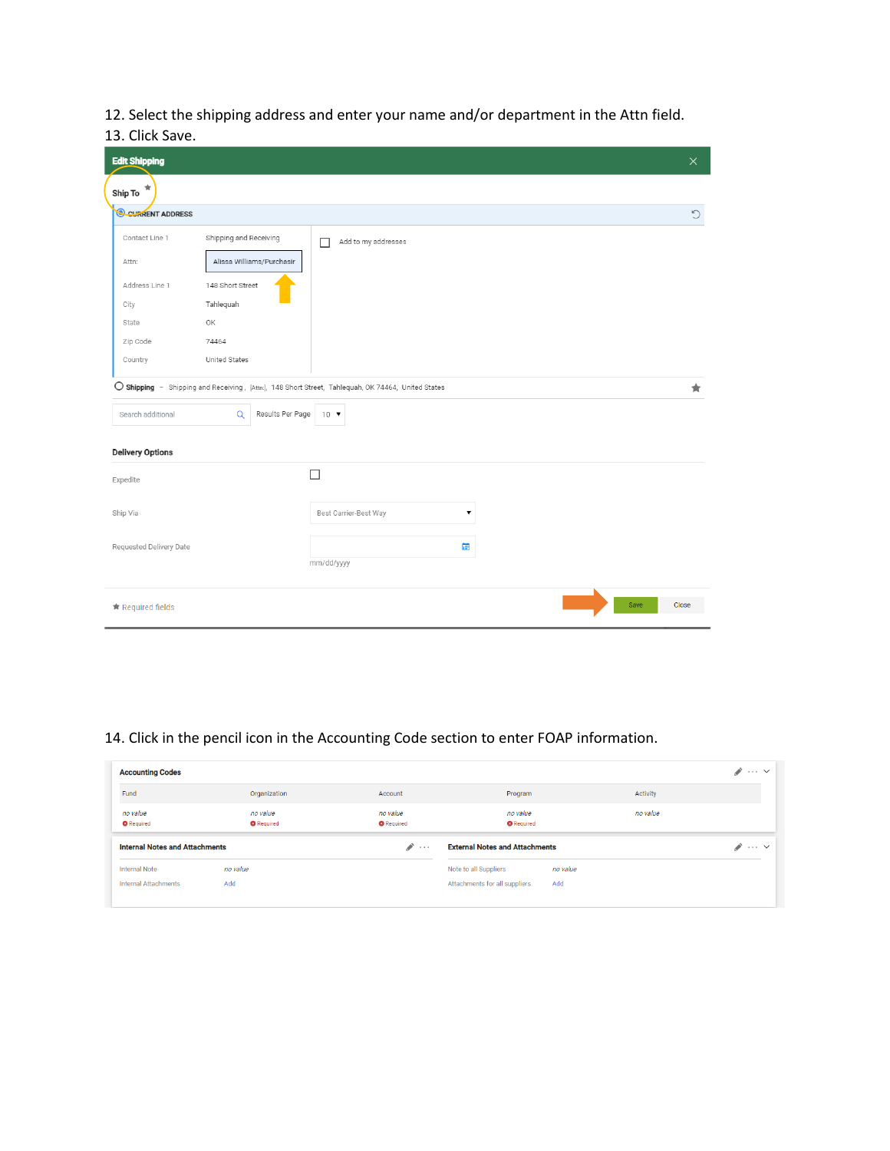12. Select the shipping address and enter your name and/or department in the Attn field. 13. Click Save.

| <b>Edit Shipping</b>     |                              |                                                                                                    | $\times$                  |
|--------------------------|------------------------------|----------------------------------------------------------------------------------------------------|---------------------------|
| ★<br>Ship To             |                              |                                                                                                    |                           |
| <b>Q CURRENT ADDRESS</b> |                              |                                                                                                    | $\mathbb{C}^{\mathbb{C}}$ |
| Contact Line 1           | Shipping and Receiving       | Add to my addresses<br>П                                                                           |                           |
| Attn:                    | Alissa Williams/Purchasir    |                                                                                                    |                           |
| Address Line 1           | 148 Short Street             |                                                                                                    |                           |
| City                     | Tahlequah                    |                                                                                                    |                           |
| State                    | OK                           |                                                                                                    |                           |
| Zip Code                 | 74464                        |                                                                                                    |                           |
| Country                  | United States                |                                                                                                    |                           |
|                          |                              | O Shipping - Shipping and Receiving, [Attn:], 148 Short Street, Tahlequah, OK 74464, United States | ★                         |
| Search additional        | Results Per Page<br>$\alpha$ | $10$ $\blacktriangledown$                                                                          |                           |
| <b>Delivery Options</b>  |                              |                                                                                                    |                           |
| Expedite                 |                              | П                                                                                                  |                           |
| Ship Via                 |                              | Best Carrier-Best Way<br>$\blacktriangledown$                                                      |                           |
| Requested Delivery Date  |                              | 蔨                                                                                                  |                           |
|                          |                              | mm/dd/yyyy                                                                                         |                           |
| ★ Required fields        |                              | Save                                                                                               | Close                     |

## 14. Click in the pencil icon in the Accounting Code section to enter FOAP information.

| <b>Accounting Codes</b>               |                               |                               |                                       |          | $\mathscr{F}$ $\vee$          |
|---------------------------------------|-------------------------------|-------------------------------|---------------------------------------|----------|-------------------------------|
| Fund                                  | Organization                  | Account                       | Program                               | Activity |                               |
| no value<br><b>O</b> Required         | no value<br><b>O</b> Required | no value<br><b>O</b> Required | no value<br><b>O</b> Required         | no value |                               |
| <b>Internal Notes and Attachments</b> |                               | ◢<br>$\cdots$                 | <b>External Notes and Attachments</b> |          | $\rightarrow$ $\cdots$ $\sim$ |
| <b>Internal Note</b>                  | no value                      |                               | Note to all Suppliers                 | no value |                               |
| <b>Internal Attachments</b>           | Add                           |                               | Attachments for all suppliers         | Add      |                               |
|                                       |                               |                               |                                       |          |                               |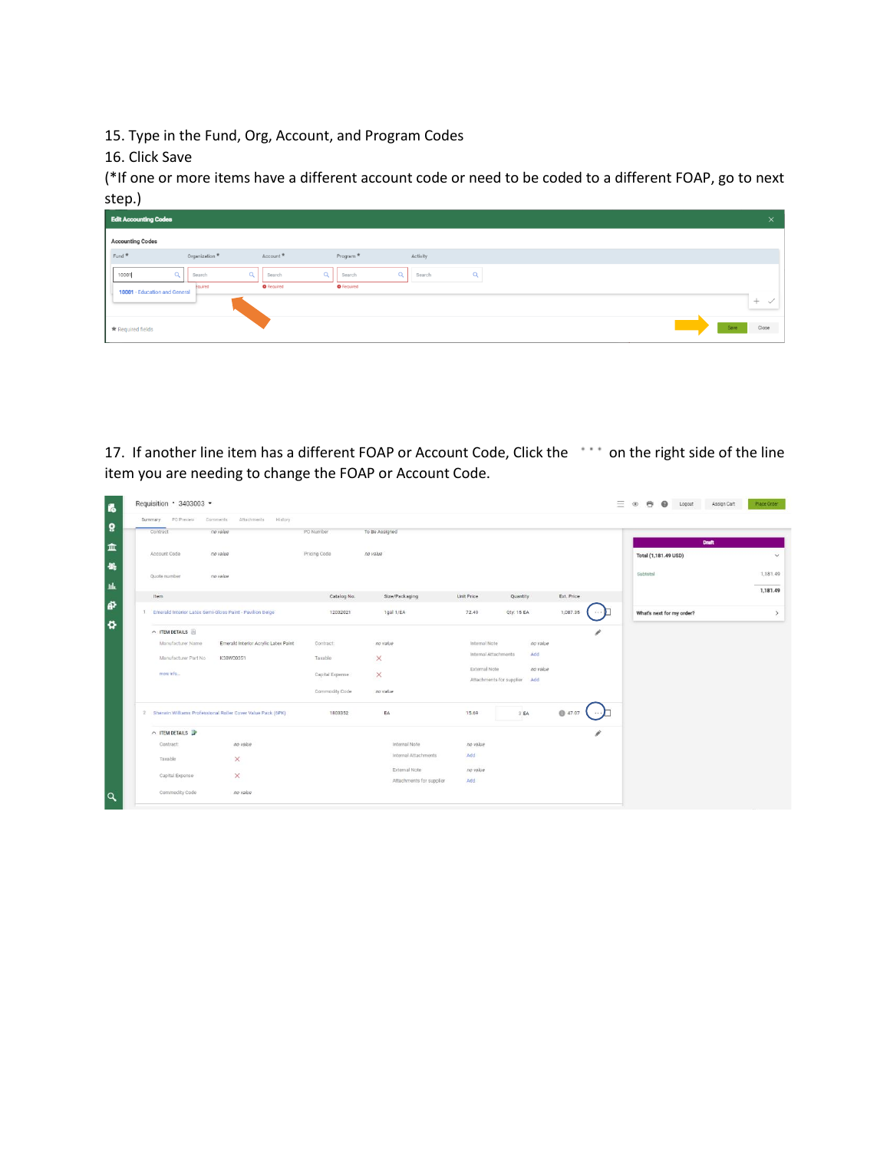15. Type in the Fund, Org, Account, and Program Codes

16. Click Save

(\*If one or more items have a different account code or need to be coded to a different FOAP, go to next step.)

| <b>Edit Accounting Codes</b> |                                          |                    |                      |                    |          | $\times$      |  |
|------------------------------|------------------------------------------|--------------------|----------------------|--------------------|----------|---------------|--|
| <b>Accounting Codes</b>      |                                          |                    |                      |                    |          |               |  |
| Fund <sup>*</sup>            | Organization *                           | Account *          | Program <sup>*</sup> | Activity           |          |               |  |
| 10001                        | $\alpha$<br>Search                       | $\alpha$<br>Search | $\alpha$<br>Search   | $\alpha$<br>Search | $\Omega$ |               |  |
|                              | equired<br>10001 - Education and General | <b>O</b> Required  | <b>O</b> Required    |                    |          | $+$           |  |
| <b>★</b> Required fields     |                                          |                    |                      |                    |          | Close<br>Save |  |

17. If another line item has a different FOAP or Account Code, Click the \*\*\* on the right side of the line item you are needing to change the FOAP or Account Code.

| PO Preview<br>Summary | Comments<br>Attachments<br>History                            |                 |                          |                                           |                 |                                     |                           |          |
|-----------------------|---------------------------------------------------------------|-----------------|--------------------------|-------------------------------------------|-----------------|-------------------------------------|---------------------------|----------|
| Contract              | no value                                                      | PO Number       | To Be Assigned           |                                           |                 |                                     |                           |          |
|                       |                                                               |                 |                          |                                           |                 |                                     | <b>Draft</b>              |          |
| Account Code          | no value                                                      | Pricing Code    | no value                 |                                           |                 |                                     | Total (1,181.49 USD)      |          |
| Quote number          | no value                                                      |                 |                          |                                           |                 |                                     | Subtotal                  | 1,181.49 |
| Item                  |                                                               | Catalog No.     | Size/Packaging           | Unit Price                                | Quantity        | Ext. Price                          |                           | 1,181.49 |
|                       | 1 Emerald Interior Latex Semi-Gloss Paint - Pavilion Beige    | 12032021        | 1gal 1/EA                | 72.49                                     | Qty: 15 EA      | 1,087.35<br>$\cdots$ $\blacksquare$ | What's next for my order? |          |
| $\land$ ITEM DETAILS  |                                                               |                 |                          |                                           |                 | v                                   |                           |          |
| Manufacturer Name     | Emerald Interior Acrylic Latex Paint                          | Contract:       | no value                 | Internal Note                             | no value        |                                     |                           |          |
| Manufacturer Part No  | K38W00351                                                     | Taxable         | $\times$                 | Internal Attachments                      | Add             |                                     |                           |          |
| more info             |                                                               | Capital Expense | $\times$                 | External Note<br>Attachments for supplier | no value<br>Add |                                     |                           |          |
|                       |                                                               | Commodity Code  | no value                 |                                           |                 |                                     |                           |          |
|                       | 2 Sherwin Williams Professional Roller Cover Value Pack (6PK) | 1803352         | EA                       | 15.69                                     | 3 EA            | ● 47.07                             |                           |          |
| $\land$ ITEM DETAILS  |                                                               |                 |                          |                                           |                 | v                                   |                           |          |
| Contract:             | no value                                                      |                 | Internal Note            | no value                                  |                 |                                     |                           |          |
| Taxable               | ×                                                             |                 | Internal Attachments     | Add                                       |                 |                                     |                           |          |
|                       |                                                               |                 | External Note            | no value                                  |                 |                                     |                           |          |
| Capital Expense       | ×                                                             |                 | Attachments for supplier | Add                                       |                 |                                     |                           |          |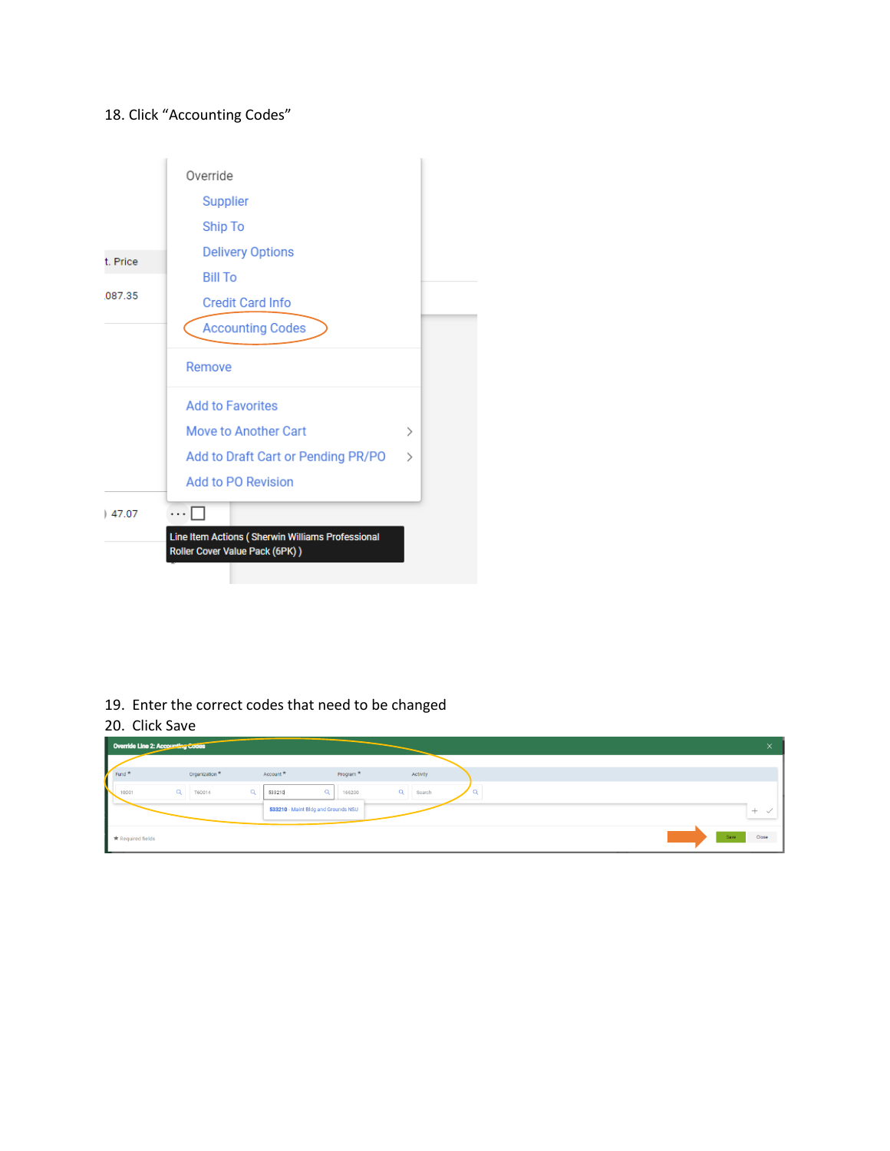### 18. Click "Accounting Codes"



### 19. Enter the correct codes that need to be changed

#### 20. Click Save

|                   | Override Line 2: Accounting Codes |                      |                                     |             |  |  | $\sim$<br>ᄉ         |
|-------------------|-----------------------------------|----------------------|-------------------------------------|-------------|--|--|---------------------|
| Fund <sup>*</sup> | Organization <sup>*</sup>         | Account <sup>*</sup> | Program <sup>*</sup>                | Activity    |  |  |                     |
| 10001             | $\alpha$<br>T60014                | $\alpha$<br>533210   | $\alpha$<br>166200                  | Q<br>Search |  |  |                     |
|                   |                                   |                      | 533210 - Maint Bldg and Grounds NSU |             |  |  | $+$<br>$\checkmark$ |
|                   |                                   |                      |                                     |             |  |  |                     |
| * Required fields |                                   |                      |                                     |             |  |  | Save<br>Close       |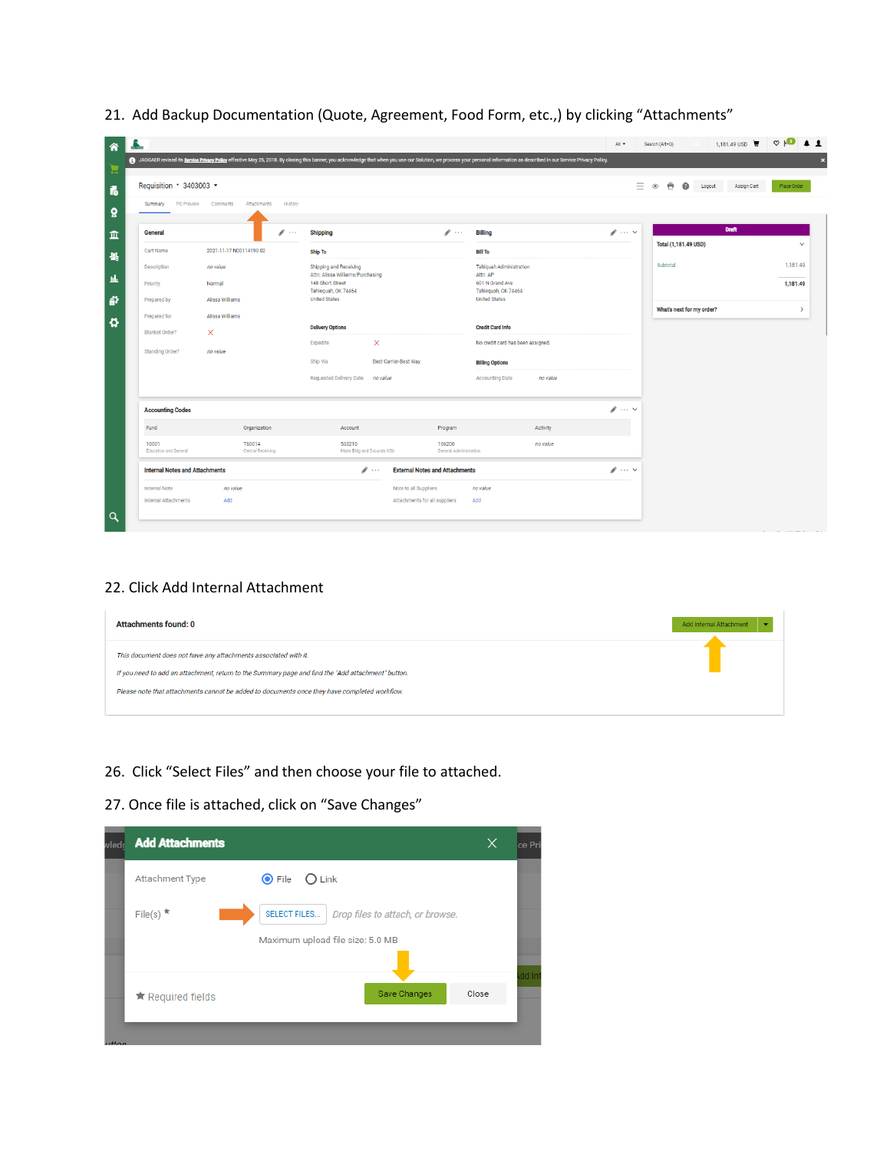|                                |                                    |                                                                             |                                  |                                             | Ξ                    | 豊<br>$\bullet$<br>$^{\circ}$<br>Logout | Place Order<br><b>Assign Cart</b> |
|--------------------------------|------------------------------------|-----------------------------------------------------------------------------|----------------------------------|---------------------------------------------|----------------------|----------------------------------------|-----------------------------------|
| PO Preview<br>Summary          | Attachments<br>History<br>Comments |                                                                             |                                  |                                             |                      |                                        |                                   |
| General                        | i<br>$\cdots$                      | <b>Shipping</b>                                                             | $\mathscr{F}$                    | <b>Billing</b>                              | $\mathscr{P}$ $\vee$ | <b>Draft</b>                           |                                   |
| Cart Name                      | 2021-11-17 N00114190 02            | <b>Ship To</b>                                                              |                                  | <b>Bill To</b>                              |                      | Total (1,181.49 USD)                   |                                   |
| Description                    | no value                           | Shipping and Receiving                                                      |                                  | <b>Tahlquah Administration</b><br>Attn: AP  |                      | Subtotal                               | 1,181.49                          |
| Priority                       | Normal                             | Attn: Alissa Williams/Purchasing<br>148 Short Street<br>Tahleguah, OK 74464 | 601 N Grand Ave                  |                                             |                      |                                        | 1,181.49                          |
| Prepared by                    | Alissa Williams                    | <b>United States</b>                                                        |                                  | Tahlequah, OK 74464<br><b>United States</b> |                      |                                        |                                   |
| Prepared for                   | Alissa Williams                    |                                                                             |                                  |                                             |                      | What's next for my order?              |                                   |
| <b>Blanket Order?</b>          | $\times$                           | <b>Delivery Options</b>                                                     | <b>Credit Card Info</b>          |                                             |                      |                                        |                                   |
| Standing Order?                | no value                           | $\times$<br>Expedite                                                        |                                  | No credit card has been assigned.           |                      |                                        |                                   |
|                                |                                    | Ship Via<br><b>Best Carrier-Best Way</b>                                    |                                  | <b>Billing Options</b>                      |                      |                                        |                                   |
|                                |                                    | <b>Requested Delivery Date</b><br>no value                                  |                                  | <b>Accounting Date</b><br>no value          |                      |                                        |                                   |
| <b>Accounting Codes</b>        |                                    |                                                                             |                                  |                                             | $\mathscr{N}$ $\vee$ |                                        |                                   |
| Fund                           | Organization                       | Account                                                                     | Program                          | Activity                                    |                      |                                        |                                   |
|                                |                                    | 533210                                                                      | 166200<br>General Administration | no value                                    |                      |                                        |                                   |
| 10001<br>Education and General | T60014<br>Central Receiving        | Maint Bldg and Grounds NSU                                                  |                                  |                                             |                      |                                        |                                   |

21. Add Backup Documentation (Quote, Agreement, Food Form, etc.,) by clicking "Attachments"

#### 22. Click Add Internal Attachment

| Attachments found: 0                                                                               | Add Internal Attachment<br>٠ |
|----------------------------------------------------------------------------------------------------|------------------------------|
| This document does not have any attachments associated with it.                                    |                              |
| If you need to add an attachment, return to the Summary page and find the "Add attachment" button. |                              |
| Please note that attachments cannot be added to documents once they have completed workflow.       |                              |
|                                                                                                    |                              |

- 26. Click "Select Files" and then choose your file to attached.
- 27. Once file is attached, click on "Save Changes"

| wledd | <b>Add Attachments</b>     |                                                  | ×     | ce Pri |
|-------|----------------------------|--------------------------------------------------|-------|--------|
|       | Attachment Type            | $\odot$ File<br>$\bigcirc$ Link                  |       |        |
|       | File(s) $*$                | SELECT FILES<br>Drop files to attach, or browse. |       |        |
|       |                            | Maximum upload file size: 5.0 MB                 |       |        |
|       |                            |                                                  |       | dd Inf |
|       | $\bigstar$ Required fields | Save Changes                                     | Close |        |
|       |                            |                                                  |       |        |